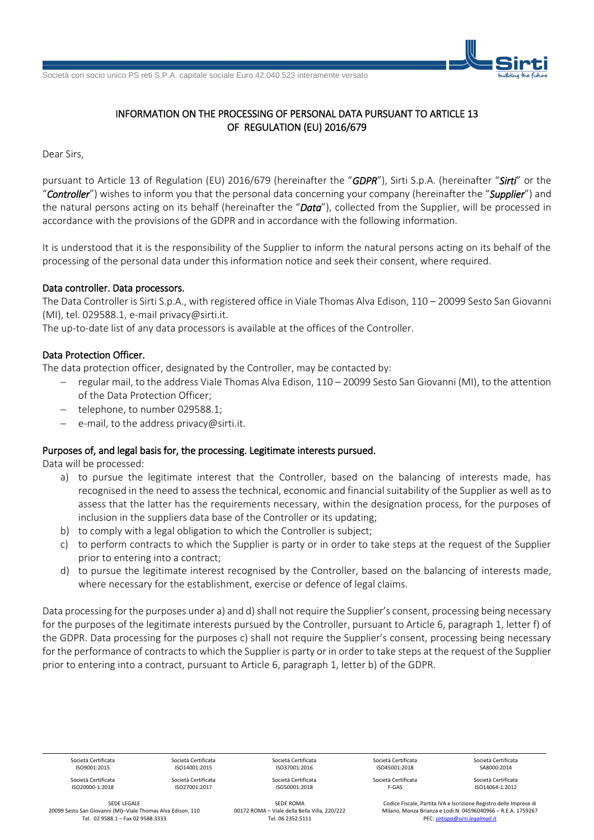Società con socio unico PS reti S.P.A. capitale sociale Euro 42.040.523 interamente versato



# INFORMATION ON THE PROCESSING OF PERSONAL DATA PURSUANT TO ARTICLE 13 OF REGULATION (EU) 2016/679

Dear Sirs,

pursuant to Article 13 of Regulation (EU) 2016/679 (hereinafter the "*GDPR*"), Sirti S.p.A. (hereinafter "*Sirti*" or the "*Controller*") wishes to inform you that the personal data concerning your company (hereinafter the "*Supplier*") and the natural persons acting on its behalf (hereinafter the "*Data*"), collected from the Supplier, will be processed in accordance with the provisions of the GDPR and in accordance with the following information.

It is understood that it is the responsibility of the Supplier to inform the natural persons acting on its behalf of the processing of the personal data under this information notice and seek their consent, where required.

### Data controller. Data processors.

The Data Controller is Sirti S.p.A., with registered office in Viale Thomas Alva Edison, 110 – 20099 Sesto San Giovanni (MI), tel. 029588.1, e-mail privacy@sirti.it.

The up-to-date list of any data processors is available at the offices of the Controller.

# Data Protection Officer.

The data protection officer, designated by the Controller, may be contacted by:

- regular mail, to the address Viale Thomas Alva Edison, 110 20099 Sesto San Giovanni (MI), to the attention of the Data Protection Officer;
- telephone, to number 029588.1;
- e-mail, to the address privacy@sirti.it.

# Purposes of, and legal basis for, the processing. Legitimate interests pursued.

Data will be processed:

- a) to pursue the legitimate interest that the Controller, based on the balancing of interests made, has recognised in the need to assess the technical, economic and financial suitability of the Supplier as well as to assess that the latter has the requirements necessary, within the designation process, for the purposes of inclusion in the suppliers data base of the Controller or its updating;
- b) to comply with a legal obligation to which the Controller is subject;
- c) to perform contracts to which the Supplier is party or in order to take steps at the request of the Supplier prior to entering into a contract;
- d) to pursue the legitimate interest recognised by the Controller, based on the balancing of interests made, where necessary for the establishment, exercise or defence of legal claims.

Data processing for the purposes under a) and d) shall not require the Supplier's consent, processing being necessary for the purposes of the legitimate interests pursued by the Controller, pursuant to Article 6, paragraph 1, letter f) of the GDPR. Data processing for the purposes c) shall not require the Supplier's consent, processing being necessary for the performance of contracts to which the Supplier is party or in order to take steps at the request of the Supplier prior to entering into a contract, pursuant to Article 6, paragraph 1, letter b) of the GDPR.

| Società Certificata | Società Certificata | Società Certificata | Società Certificata | Società Certificata |
|---------------------|---------------------|---------------------|---------------------|---------------------|
| ISO9001:2015        | ISO14001:2015       | ISO37001:2016       | ISO45001:2018       | SA8000:2014         |
| Società Certificata | Società Certificata | Società Certificata | Società Certificata | Società Certificata |
| ISO20000-1:2018     | ISO27001:2017       | ISO50001:2018       | F-GAS               | ISO14064-1:2012     |

SEDE LEGALE 20099 Sesto San Giovanni (MI)–Viale Thomas Alva Edison, 110 Tel. 02 9588.1 – Fax 02 9588.3333

SEDE ROMA 00172 ROMA – Viale della Bella Villa, 220/222 Tel. 06 2352.5111

Codice Fiscale, Partita IVA e Iscrizione Registro delle Imprese di Milano, Monza Brianza e Lodi N. 04596040966 – R.E.A. 1759267 PEC: *[sirtispa@sirti.legalmail.it](mailto:sirtispa@sirti.legalmail.it)*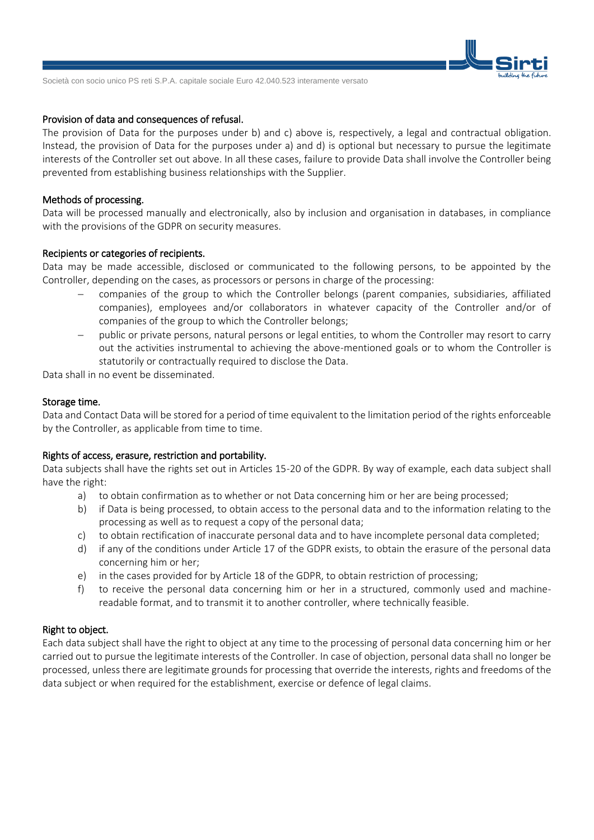

Società con socio unico PS reti S.P.A. capitale sociale Euro 42.040.523 interamente versato

#### Provision of data and consequences of refusal.

The provision of Data for the purposes under b) and c) above is, respectively, a legal and contractual obligation. Instead, the provision of Data for the purposes under a) and d) is optional but necessary to pursue the legitimate interests of the Controller set out above. In all these cases, failure to provide Data shall involve the Controller being prevented from establishing business relationships with the Supplier.

#### Methods of processing.

Data will be processed manually and electronically, also by inclusion and organisation in databases, in compliance with the provisions of the GDPR on security measures.

#### Recipients or categories of recipients.

Data may be made accessible, disclosed or communicated to the following persons, to be appointed by the Controller, depending on the cases, as processors or persons in charge of the processing:

- companies of the group to which the Controller belongs (parent companies, subsidiaries, affiliated companies), employees and/or collaborators in whatever capacity of the Controller and/or of companies of the group to which the Controller belongs;
- public or private persons, natural persons or legal entities, to whom the Controller may resort to carry out the activities instrumental to achieving the above-mentioned goals or to whom the Controller is statutorily or contractually required to disclose the Data.

Data shall in no event be disseminated.

### Storage time.

Data and Contact Data will be stored for a period of time equivalent to the limitation period of the rights enforceable by the Controller, as applicable from time to time.

#### Rights of access, erasure, restriction and portability.

Data subjects shall have the rights set out in Articles 15-20 of the GDPR. By way of example, each data subject shall have the right:

- a) to obtain confirmation as to whether or not Data concerning him or her are being processed;
- b) if Data is being processed, to obtain access to the personal data and to the information relating to the processing as well as to request a copy of the personal data;
- c) to obtain rectification of inaccurate personal data and to have incomplete personal data completed;
- d) if any of the conditions under Article 17 of the GDPR exists, to obtain the erasure of the personal data concerning him or her;
- e) in the cases provided for by Article 18 of the GDPR, to obtain restriction of processing;
- f) to receive the personal data concerning him or her in a structured, commonly used and machinereadable format, and to transmit it to another controller, where technically feasible.

#### Right to object.

Each data subject shall have the right to object at any time to the processing of personal data concerning him or her carried out to pursue the legitimate interests of the Controller. In case of objection, personal data shall no longer be processed, unless there are legitimate grounds for processing that override the interests, rights and freedoms of the data subject or when required for the establishment, exercise or defence of legal claims.